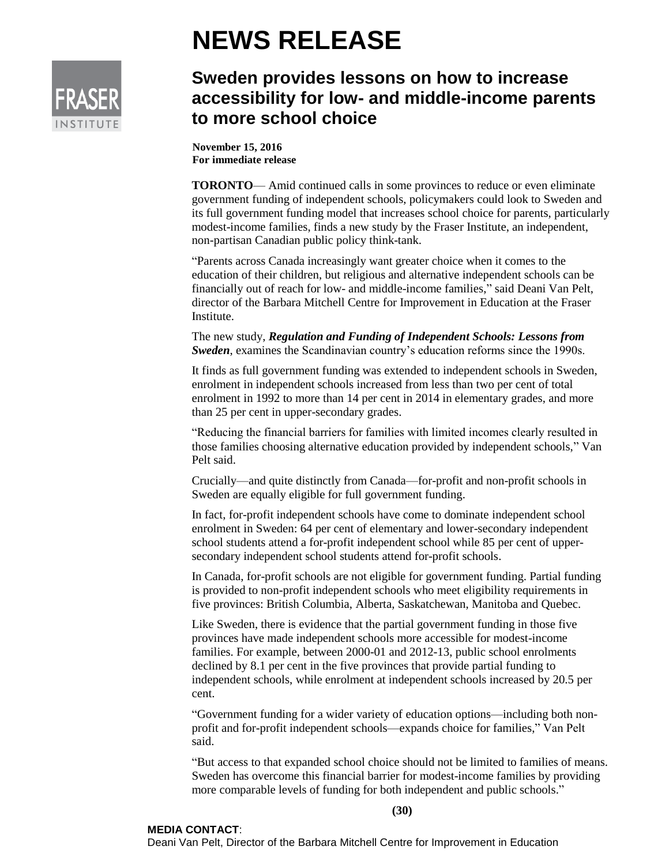

## **NEWS RELEASE**

## **Sweden provides lessons on how to increase accessibility for low- and middle-income parents to more school choice**

**November 15, 2016 For immediate release**

**TORONTO**— Amid continued calls in some provinces to reduce or even eliminate government funding of independent schools, policymakers could look to Sweden and its full government funding model that increases school choice for parents, particularly modest-income families, finds a new study by the Fraser Institute, an independent, non-partisan Canadian public policy think-tank.

"Parents across Canada increasingly want greater choice when it comes to the education of their children, but religious and alternative independent schools can be financially out of reach for low- and middle-income families," said Deani Van Pelt, director of the Barbara Mitchell Centre for Improvement in Education at the Fraser Institute.

The new study, *Regulation and Funding of Independent Schools: Lessons from Sweden*, examines the Scandinavian country's education reforms since the 1990s.

It finds as full government funding was extended to independent schools in Sweden, enrolment in independent schools increased from less than two per cent of total enrolment in 1992 to more than 14 per cent in 2014 in elementary grades, and more than 25 per cent in upper-secondary grades.

"Reducing the financial barriers for families with limited incomes clearly resulted in those families choosing alternative education provided by independent schools," Van Pelt said.

Crucially—and quite distinctly from Canada—for-profit and non-profit schools in Sweden are equally eligible for full government funding.

In fact, for-profit independent schools have come to dominate independent school enrolment in Sweden: 64 per cent of elementary and lower-secondary independent school students attend a for-profit independent school while 85 per cent of uppersecondary independent school students attend for-profit schools.

In Canada, for-profit schools are not eligible for government funding. Partial funding is provided to non-profit independent schools who meet eligibility requirements in five provinces: British Columbia, Alberta, Saskatchewan, Manitoba and Quebec.

Like Sweden, there is evidence that the partial government funding in those five provinces have made independent schools more accessible for modest-income families. For example, between 2000-01 and 2012-13, public school enrolments declined by 8.1 per cent in the five provinces that provide partial funding to independent schools, while enrolment at independent schools increased by 20.5 per cent.

"Government funding for a wider variety of education options—including both nonprofit and for-profit independent schools—expands choice for families," Van Pelt said.

"But access to that expanded school choice should not be limited to families of means. Sweden has overcome this financial barrier for modest-income families by providing more comparable levels of funding for both independent and public schools."

**(30)**

## **MEDIA CONTACT**:

Deani Van Pelt, Director of the Barbara Mitchell Centre for Improvement in Education